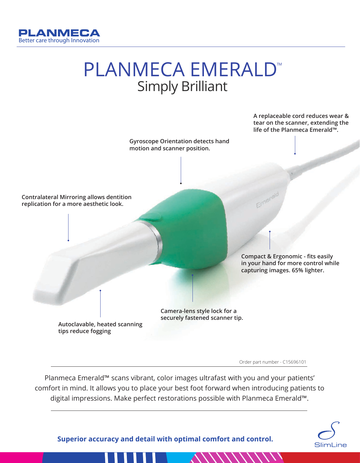

## PLANMECA EMERALD™ Simply Brilliant



Order part number - C15696101

Planmeca Emerald™ scans vibrant, color images ultrafast with you and your patients' comfort in mind. It allows you to place your best foot forward when introducing patients to digital impressions. Make perfect restorations possible with Planmeca Emerald™.



**Superior accuracy and detail with optimal comfort and control.**